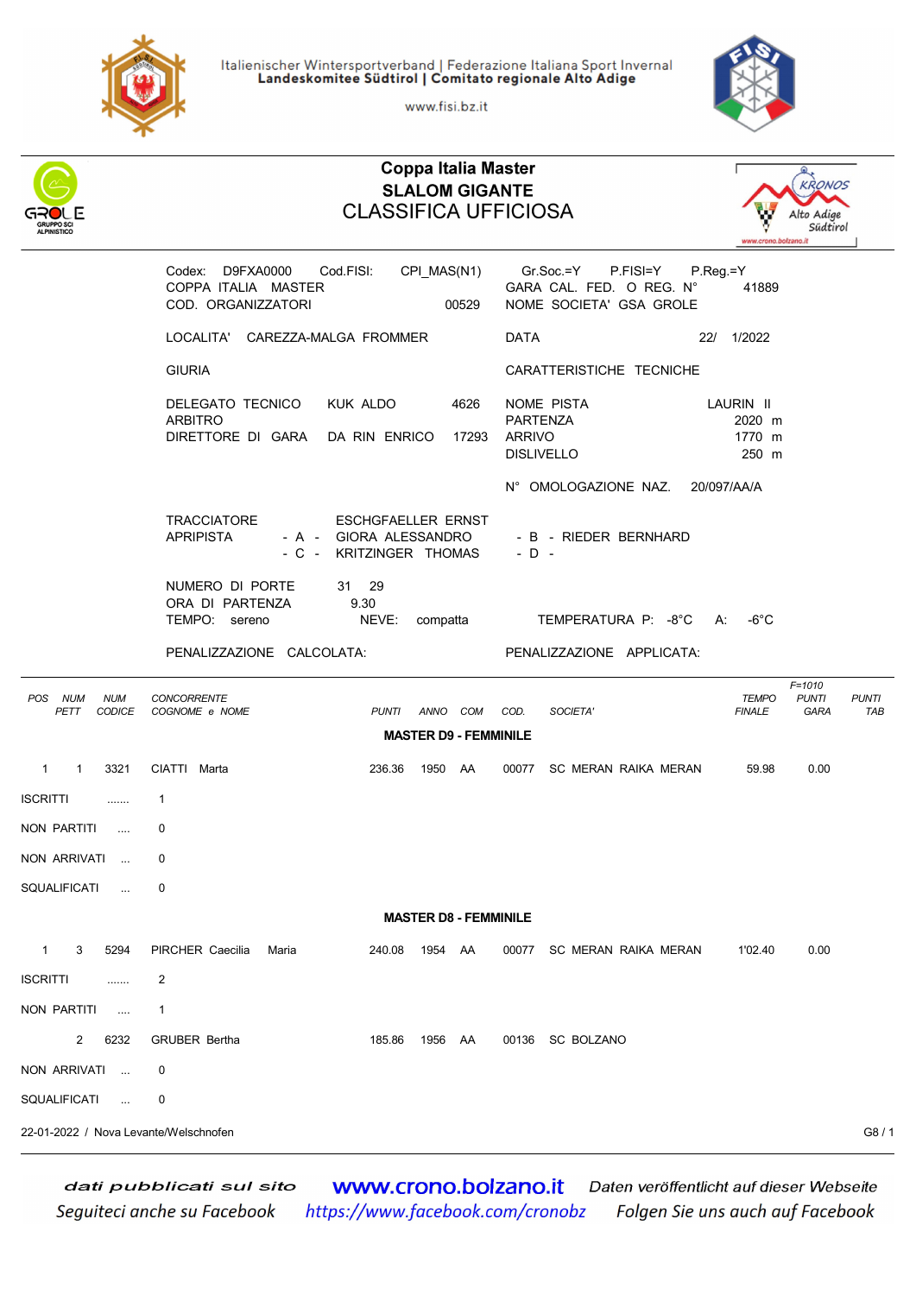

Italienischer Wintersportverband | Federazione Italiana Sport Invernal<br>Landeskomitee Südtirol | Comitato regionale Alto Adige

www.fisi.bz.it



|                                                   | <b>Coppa Italia Master</b><br><b>KRONOS</b><br><b>SLALOM GIGANTE</b><br><b>CLASSIFICA UFFICIOSA</b><br>Alto Adige<br>Südtirol<br>www.crono.bolzano.it |                                                                         |                              |                                                                                 |                                        |                                    |                            |  |  |  |
|---------------------------------------------------|-------------------------------------------------------------------------------------------------------------------------------------------------------|-------------------------------------------------------------------------|------------------------------|---------------------------------------------------------------------------------|----------------------------------------|------------------------------------|----------------------------|--|--|--|
|                                                   | Codex: D9FXA0000<br>COPPA ITALIA MASTER<br>COD. ORGANIZZATORI                                                                                         | Cod.FISI:                                                               | CPI_MAS(N1)<br>00529         | $Gr.Soc = Y$<br>P.FISI=Y<br>GARA CAL. FED. O REG. N°<br>NOME SOCIETA' GSA GROLE | P.Reg.=Y<br>41889                      |                                    |                            |  |  |  |
|                                                   | LOCALITA' CAREZZA-MALGA FROMMER                                                                                                                       |                                                                         |                              | <b>DATA</b>                                                                     | 22/ 1/2022                             |                                    |                            |  |  |  |
|                                                   | <b>GIURIA</b>                                                                                                                                         |                                                                         |                              | CARATTERISTICHE TECNICHE                                                        |                                        |                                    |                            |  |  |  |
|                                                   | DELEGATO TECNICO<br><b>ARBITRO</b><br>DIRETTORE DI GARA                                                                                               | KUK ALDO<br>DA RIN ENRICO                                               | 4626<br>17293                | NOME PISTA<br><b>PARTENZA</b><br><b>ARRIVO</b><br><b>DISLIVELLO</b>             | LAURIN II<br>2020 m<br>1770 m<br>250 m |                                    |                            |  |  |  |
|                                                   |                                                                                                                                                       |                                                                         |                              | N° OMOLOGAZIONE NAZ.                                                            | 20/097/AA/A                            |                                    |                            |  |  |  |
|                                                   | <b>TRACCIATORE</b><br><b>APRIPISTA</b>                                                                                                                | ESCHGFAELLER ERNST<br>- A - GIORA ALESSANDRO<br>- C - KRITZINGER THOMAS |                              | - B - RIEDER BERNHARD<br>$-D -$                                                 |                                        |                                    |                            |  |  |  |
|                                                   | NUMERO DI PORTE<br>ORA DI PARTENZA<br>TEMPO: sereno                                                                                                   | 31 29<br>9.30<br>NEVE:                                                  | compatta                     | TEMPERATURA P: -8°C                                                             | -6 $^{\circ}$ C<br>А:                  |                                    |                            |  |  |  |
|                                                   | PENALIZZAZIONE CALCOLATA:                                                                                                                             |                                                                         |                              | PENALIZZAZIONE APPLICATA:                                                       |                                        |                                    |                            |  |  |  |
| POS<br><b>NUM</b><br><b>NUM</b><br>PETT<br>CODICE | <b>CONCORRENTE</b><br>COGNOME e NOME                                                                                                                  | <b>PUNTI</b>                                                            | ANNO COM                     | COD.<br>SOCIETA'                                                                | <b>TEMPO</b><br><b>FINALE</b>          | $F = 1010$<br><b>PUNTI</b><br>GARA | <b>PUNTI</b><br><b>TAB</b> |  |  |  |
|                                                   |                                                                                                                                                       |                                                                         | <b>MASTER D9 - FEMMINILE</b> |                                                                                 |                                        |                                    |                            |  |  |  |
| 3321<br>$\mathbf{1}$<br>$\overline{1}$            | CIATTI Marta                                                                                                                                          | 236.36                                                                  | 1950 AA                      | SC MERAN RAIKA MERAN<br>00077                                                   | 59.98                                  | 0.00                               |                            |  |  |  |
| <b>ISCRITTI</b><br>.                              | $\mathbf{1}$                                                                                                                                          |                                                                         |                              |                                                                                 |                                        |                                    |                            |  |  |  |
| NON PARTITI<br>$\cdots$                           | 0                                                                                                                                                     |                                                                         |                              |                                                                                 |                                        |                                    |                            |  |  |  |
| NON ARRIVATI<br>$\sim$                            | 0                                                                                                                                                     |                                                                         |                              |                                                                                 |                                        |                                    |                            |  |  |  |
| SQUALIFICATI<br>$\sim$                            | 0                                                                                                                                                     |                                                                         |                              |                                                                                 |                                        |                                    |                            |  |  |  |
|                                                   |                                                                                                                                                       |                                                                         | <b>MASTER D8 - FEMMINILE</b> |                                                                                 |                                        |                                    |                            |  |  |  |
| $\mathbf{1}$<br>3<br>5294                         | PIRCHER Caecilia<br>Maria                                                                                                                             | 240.08                                                                  | 1954 AA                      | 00077 SC MERAN RAIKA MERAN                                                      | 1'02.40                                | 0.00                               |                            |  |  |  |
| <b>ISCRITTI</b><br>.                              | 2                                                                                                                                                     |                                                                         |                              |                                                                                 |                                        |                                    |                            |  |  |  |
| NON PARTITI<br>$\cdots$                           | $\mathbf{1}$                                                                                                                                          |                                                                         |                              |                                                                                 |                                        |                                    |                            |  |  |  |
| 2<br>6232                                         | <b>GRUBER Bertha</b>                                                                                                                                  | 185.86                                                                  | 1956<br>AA                   | 00136<br><b>SC BOLZANO</b>                                                      |                                        |                                    |                            |  |  |  |
| NON ARRIVATI                                      | 0                                                                                                                                                     |                                                                         |                              |                                                                                 |                                        |                                    |                            |  |  |  |
| SQUALIFICATI<br>$\sim$                            | 0                                                                                                                                                     |                                                                         |                              |                                                                                 |                                        |                                    |                            |  |  |  |
| 22-01-2022 / Nova Levante/Welschnofen             |                                                                                                                                                       |                                                                         |                              |                                                                                 |                                        |                                    | G8/1                       |  |  |  |

www.crono.bolzano.it Daten veröffentlicht auf dieser Webseite dati pubblicati sul sito https://www.facebook.com/cronobz Seguiteci anche su Facebook Folgen Sie uns auch auf Facebook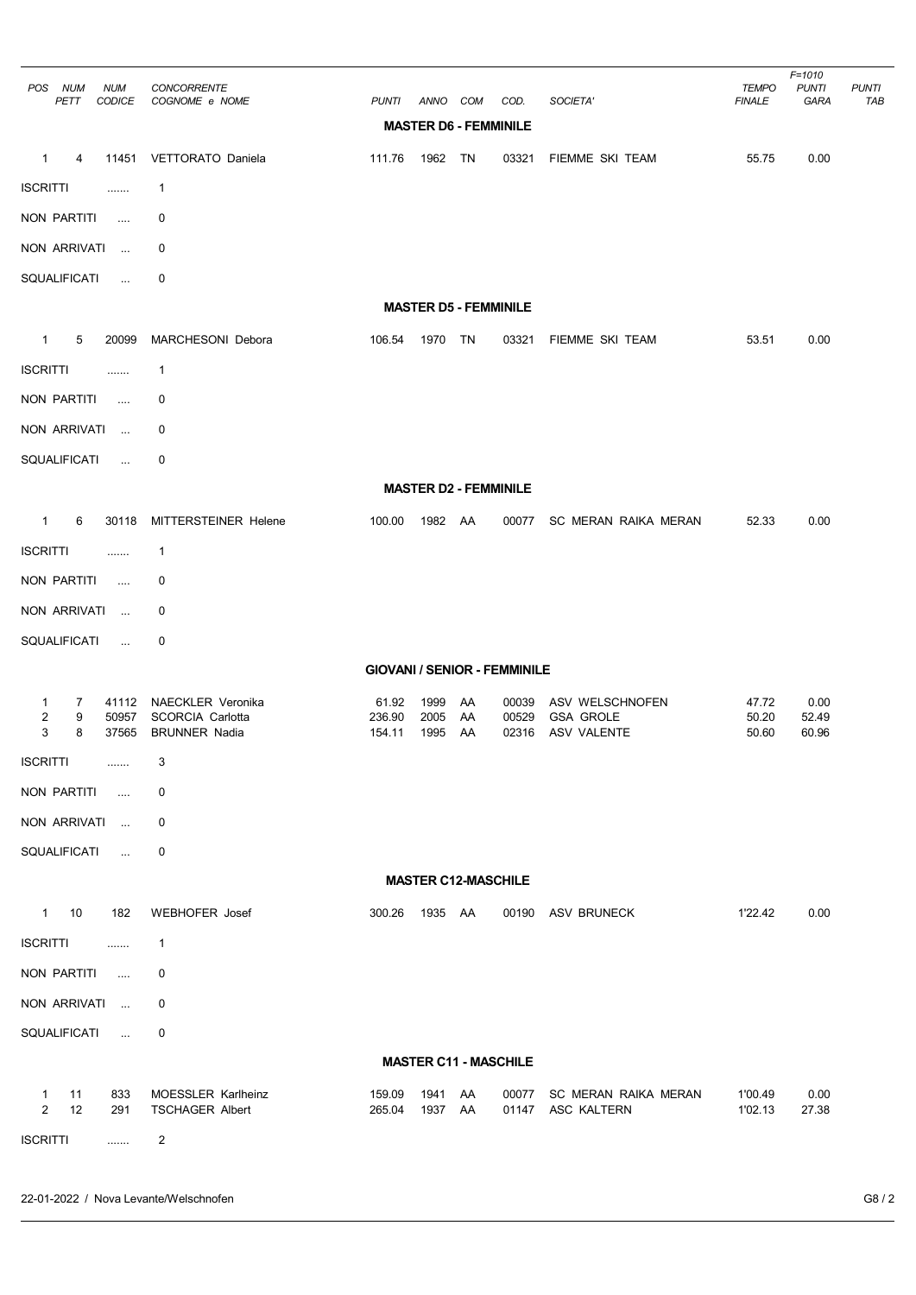| <b>NUM</b><br>POS<br>PETT                  | <b>NUM</b><br><b>CODICE</b> | <b>CONCORRENTE</b><br>COGNOME e NOME                                        | <b>PUNTI</b>                        | ANNO COM             |                              | COD.                         | SOCIETA'                                           | <b>TEMPO</b><br><b>FINALE</b> | $F = 1010$<br><b>PUNTI</b><br>GARA | <b>PUNTI</b><br>TAB |
|--------------------------------------------|-----------------------------|-----------------------------------------------------------------------------|-------------------------------------|----------------------|------------------------------|------------------------------|----------------------------------------------------|-------------------------------|------------------------------------|---------------------|
|                                            |                             |                                                                             |                                     |                      | <b>MASTER D6 - FEMMINILE</b> |                              |                                                    |                               |                                    |                     |
| $\mathbf{1}$<br>4                          | 11451                       | VETTORATO Daniela                                                           | 111.76                              | 1962 TN              |                              | 03321                        | FIEMME SKI TEAM                                    | 55.75                         | 0.00                               |                     |
| <b>ISCRITTI</b>                            | .                           | $\mathbf{1}$                                                                |                                     |                      |                              |                              |                                                    |                               |                                    |                     |
| NON PARTITI                                | $\ldots$                    | 0                                                                           |                                     |                      |                              |                              |                                                    |                               |                                    |                     |
| NON ARRIVATI                               | $\ldots$                    | 0                                                                           |                                     |                      |                              |                              |                                                    |                               |                                    |                     |
| SQUALIFICATI                               | $\ldots$                    | 0                                                                           |                                     |                      |                              |                              |                                                    |                               |                                    |                     |
|                                            |                             |                                                                             |                                     |                      | <b>MASTER D5 - FEMMINILE</b> |                              |                                                    |                               |                                    |                     |
| $\mathbf{1}$<br>5                          | 20099                       | MARCHESONI Debora                                                           | 106.54                              | 1970                 | TN                           | 03321                        | FIEMME SKI TEAM                                    | 53.51                         | 0.00                               |                     |
| <b>ISCRITTI</b>                            | .                           | $\mathbf{1}$                                                                |                                     |                      |                              |                              |                                                    |                               |                                    |                     |
| NON PARTITI                                | $\cdots$                    | 0                                                                           |                                     |                      |                              |                              |                                                    |                               |                                    |                     |
| NON ARRIVATI                               | $\sim 10$                   | 0                                                                           |                                     |                      |                              |                              |                                                    |                               |                                    |                     |
| SQUALIFICATI                               | $\ldots$                    | 0                                                                           |                                     |                      |                              |                              |                                                    |                               |                                    |                     |
|                                            |                             |                                                                             |                                     |                      | <b>MASTER D2 - FEMMINILE</b> |                              |                                                    |                               |                                    |                     |
| $\mathbf{1}$<br>6                          | 30118                       | <b>MITTERSTEINER Helene</b>                                                 | 100.00                              | 1982 AA              |                              | 00077                        | SC MERAN RAIKA MERAN                               | 52.33                         | 0.00                               |                     |
| <b>ISCRITTI</b>                            | .                           | $\mathbf{1}$                                                                |                                     |                      |                              |                              |                                                    |                               |                                    |                     |
| NON PARTITI                                | .                           | 0                                                                           |                                     |                      |                              |                              |                                                    |                               |                                    |                     |
| NON ARRIVATI                               | $\sim 10$                   | 0                                                                           |                                     |                      |                              |                              |                                                    |                               |                                    |                     |
| SQUALIFICATI                               | $\cdots$                    | 0                                                                           |                                     |                      |                              |                              |                                                    |                               |                                    |                     |
|                                            |                             |                                                                             | <b>GIOVANI / SENIOR - FEMMINILE</b> |                      |                              |                              |                                                    |                               |                                    |                     |
| 1<br>7<br>2<br>9<br>3<br>8                 | 41112<br>50957<br>37565     | <b>NAECKLER Veronika</b><br><b>SCORCIA Carlotta</b><br><b>BRUNNER Nadia</b> | 61.92<br>236.90<br>154.11           | 1999<br>2005<br>1995 | AA<br>AA<br>AA               | 00039<br>00529<br>02316      | ASV WELSCHNOFEN<br><b>GSA GROLE</b><br>ASV VALENTE | 47.72<br>50.20<br>50.60       | 0.00<br>52.49<br>60.96             |                     |
| <b>ISCRITTI</b>                            | .                           | 3                                                                           |                                     |                      |                              |                              |                                                    |                               |                                    |                     |
| NON PARTITI                                | $\cdots$                    | 0                                                                           |                                     |                      |                              |                              |                                                    |                               |                                    |                     |
| NON ARRIVATI                               | $\ldots$                    | 0                                                                           |                                     |                      |                              |                              |                                                    |                               |                                    |                     |
| SQUALIFICATI                               | $\mathbf{r}_{\mathrm{max}}$ | 0                                                                           |                                     |                      |                              |                              |                                                    |                               |                                    |                     |
|                                            |                             |                                                                             |                                     |                      | <b>MASTER C12-MASCHILE</b>   |                              |                                                    |                               |                                    |                     |
| $\mathbf{1}$<br>10                         | 182                         | <b>WEBHOFER Josef</b>                                                       | 300.26                              | 1935 AA              |                              | 00190                        | ASV BRUNECK                                        | 1'22.42                       | 0.00                               |                     |
| <b>ISCRITTI</b>                            | .                           | $\mathbf{1}$                                                                |                                     |                      |                              |                              |                                                    |                               |                                    |                     |
| NON PARTITI                                | $\cdots$                    | 0                                                                           |                                     |                      |                              |                              |                                                    |                               |                                    |                     |
| NON ARRIVATI                               | $\ldots$                    | 0                                                                           |                                     |                      |                              |                              |                                                    |                               |                                    |                     |
| SQUALIFICATI                               | in.                         | 0                                                                           |                                     |                      |                              |                              |                                                    |                               |                                    |                     |
|                                            |                             |                                                                             |                                     |                      |                              | <b>MASTER C11 - MASCHILE</b> |                                                    |                               |                                    |                     |
| 11<br>$\mathbf{1}$<br>$\overline{2}$<br>12 | 833<br>291                  | <b>MOESSLER Karlheinz</b><br><b>TSCHAGER Albert</b>                         | 159.09<br>265.04                    | 1941<br>1937         | AA<br>AA                     | 00077<br>01147               | SC MERAN RAIKA MERAN<br>ASC KALTERN                | 1'00.49<br>1'02.13            | 0.00<br>27.38                      |                     |
| <b>ISCRITTI</b>                            | .                           | $\overline{2}$                                                              |                                     |                      |                              |                              |                                                    |                               |                                    |                     |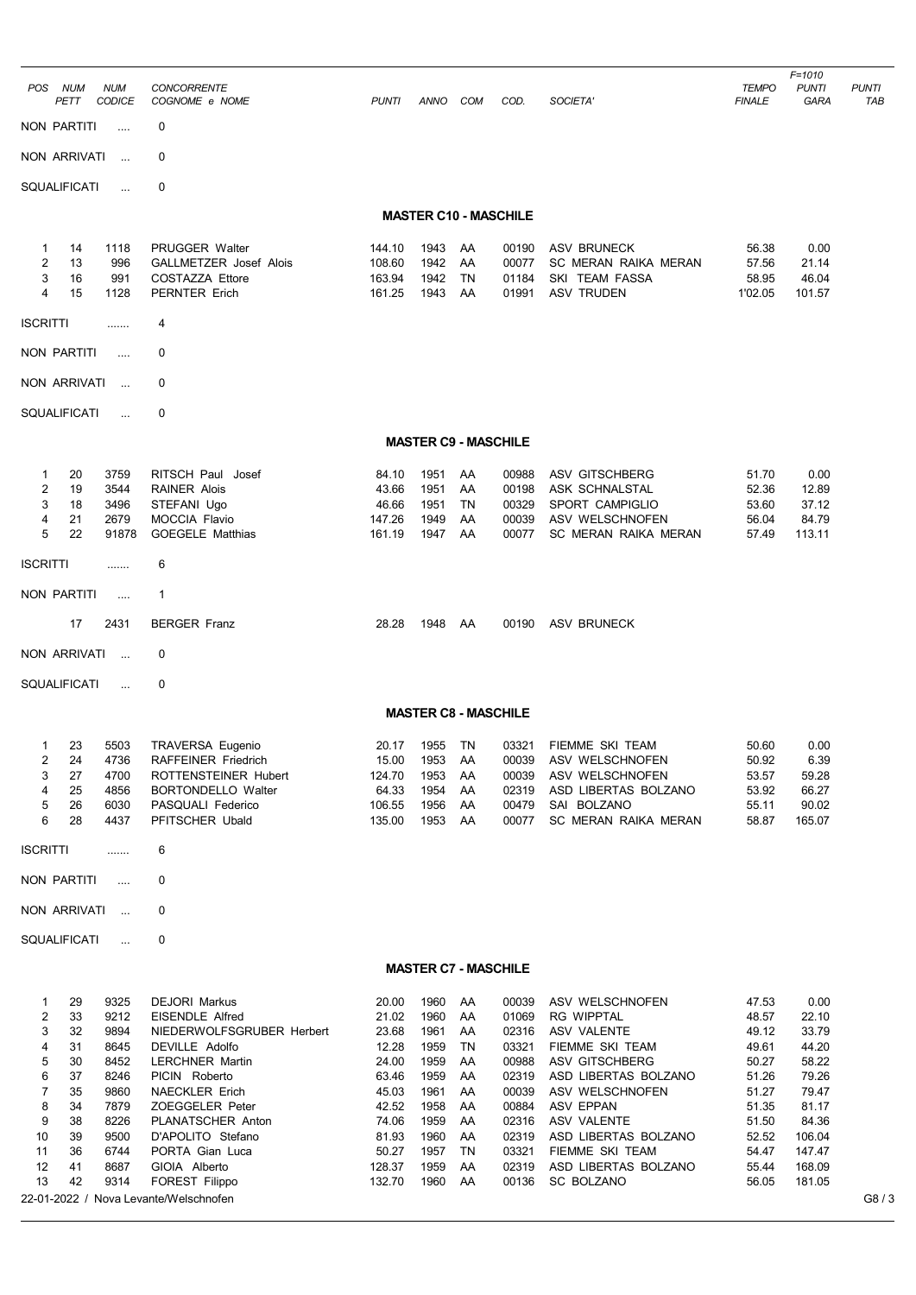| POS NUM                                                                        | PETT                                                                       | <b>NUM</b><br><b>CODICE</b>                                                                          | <b>CONCORRENTE</b><br>COGNOME e NOME                                                                                                                                                                                                                                                                                          | <b>PUNTI</b>                                                                                                        | ANNO                                                                                                 | COM                                                                        | COD.                                                                                                              | SOCIETA'                                                                                                                                                                                                                                         | <b>TEMPO</b><br><b>FINALE</b>                                                                                     | $F = 1010$<br><b>PUNTI</b><br>GARA                                                                                   | <b>PUNTI</b><br>TAB |
|--------------------------------------------------------------------------------|----------------------------------------------------------------------------|------------------------------------------------------------------------------------------------------|-------------------------------------------------------------------------------------------------------------------------------------------------------------------------------------------------------------------------------------------------------------------------------------------------------------------------------|---------------------------------------------------------------------------------------------------------------------|------------------------------------------------------------------------------------------------------|----------------------------------------------------------------------------|-------------------------------------------------------------------------------------------------------------------|--------------------------------------------------------------------------------------------------------------------------------------------------------------------------------------------------------------------------------------------------|-------------------------------------------------------------------------------------------------------------------|----------------------------------------------------------------------------------------------------------------------|---------------------|
|                                                                                | <b>NON PARTITI</b>                                                         | $\cdots$                                                                                             | 0                                                                                                                                                                                                                                                                                                                             |                                                                                                                     |                                                                                                      |                                                                            |                                                                                                                   |                                                                                                                                                                                                                                                  |                                                                                                                   |                                                                                                                      |                     |
|                                                                                | NON ARRIVATI                                                               | $\sim$                                                                                               | 0                                                                                                                                                                                                                                                                                                                             |                                                                                                                     |                                                                                                      |                                                                            |                                                                                                                   |                                                                                                                                                                                                                                                  |                                                                                                                   |                                                                                                                      |                     |
|                                                                                | SQUALIFICATI                                                               | $\ddotsc$                                                                                            | 0                                                                                                                                                                                                                                                                                                                             |                                                                                                                     |                                                                                                      |                                                                            |                                                                                                                   |                                                                                                                                                                                                                                                  |                                                                                                                   |                                                                                                                      |                     |
|                                                                                |                                                                            |                                                                                                      |                                                                                                                                                                                                                                                                                                                               |                                                                                                                     |                                                                                                      |                                                                            | <b>MASTER C10 - MASCHILE</b>                                                                                      |                                                                                                                                                                                                                                                  |                                                                                                                   |                                                                                                                      |                     |
| 1<br>$\overline{\mathbf{c}}$<br>3<br>4                                         | 14<br>13<br>16<br>15                                                       | 1118<br>996<br>991<br>1128                                                                           | PRUGGER Walter<br><b>GALLMETZER Josef Alois</b><br><b>COSTAZZA Ettore</b><br><b>PERNTER Erich</b>                                                                                                                                                                                                                             | 144.10<br>108.60<br>163.94<br>161.25                                                                                | 1943<br>1942<br>1942<br>1943                                                                         | AA<br>AA<br>TN<br>AA                                                       | 00190<br>00077<br>01184<br>01991                                                                                  | ASV BRUNECK<br>SC MERAN RAIKA MERAN<br>SKI TEAM FASSA<br><b>ASV TRUDEN</b>                                                                                                                                                                       | 56.38<br>57.56<br>58.95<br>1'02.05                                                                                | 0.00<br>21.14<br>46.04<br>101.57                                                                                     |                     |
| <b>ISCRITTI</b>                                                                |                                                                            | .                                                                                                    | 4                                                                                                                                                                                                                                                                                                                             |                                                                                                                     |                                                                                                      |                                                                            |                                                                                                                   |                                                                                                                                                                                                                                                  |                                                                                                                   |                                                                                                                      |                     |
| NON PARTITI                                                                    |                                                                            |                                                                                                      | 0                                                                                                                                                                                                                                                                                                                             |                                                                                                                     |                                                                                                      |                                                                            |                                                                                                                   |                                                                                                                                                                                                                                                  |                                                                                                                   |                                                                                                                      |                     |
|                                                                                | NON ARRIVATI                                                               | $\sim$                                                                                               | 0                                                                                                                                                                                                                                                                                                                             |                                                                                                                     |                                                                                                      |                                                                            |                                                                                                                   |                                                                                                                                                                                                                                                  |                                                                                                                   |                                                                                                                      |                     |
|                                                                                | SQUALIFICATI                                                               | $\ddotsc$                                                                                            | 0                                                                                                                                                                                                                                                                                                                             |                                                                                                                     |                                                                                                      |                                                                            |                                                                                                                   |                                                                                                                                                                                                                                                  |                                                                                                                   |                                                                                                                      |                     |
|                                                                                |                                                                            |                                                                                                      |                                                                                                                                                                                                                                                                                                                               |                                                                                                                     | <b>MASTER C9 - MASCHILE</b>                                                                          |                                                                            |                                                                                                                   |                                                                                                                                                                                                                                                  |                                                                                                                   |                                                                                                                      |                     |
| 1<br>2<br>3<br>4<br>5                                                          | 20<br>19<br>18<br>21<br>22                                                 | 3759<br>3544<br>3496<br>2679<br>91878                                                                | RITSCH Paul Josef<br><b>RAINER Alois</b><br>STEFANI Ugo<br><b>MOCCIA Flavio</b><br><b>GOEGELE Matthias</b>                                                                                                                                                                                                                    | 84.10<br>43.66<br>46.66<br>147.26<br>161.19                                                                         | 1951<br>1951<br>1951<br>1949<br>1947                                                                 | AA<br>AA<br>TN<br>AA<br>AA                                                 | 00988<br>00198<br>00329<br>00039<br>00077                                                                         | ASV GITSCHBERG<br>ASK SCHNALSTAL<br>SPORT CAMPIGLIO<br>ASV WELSCHNOFEN<br>SC MERAN RAIKA MERAN                                                                                                                                                   | 51.70<br>52.36<br>53.60<br>56.04<br>57.49                                                                         | 0.00<br>12.89<br>37.12<br>84.79<br>113.11                                                                            |                     |
| <b>ISCRITTI</b>                                                                |                                                                            | .                                                                                                    | 6                                                                                                                                                                                                                                                                                                                             |                                                                                                                     |                                                                                                      |                                                                            |                                                                                                                   |                                                                                                                                                                                                                                                  |                                                                                                                   |                                                                                                                      |                     |
|                                                                                | NON PARTITI                                                                | $\cdots$                                                                                             | $\mathbf{1}$                                                                                                                                                                                                                                                                                                                  |                                                                                                                     |                                                                                                      |                                                                            |                                                                                                                   |                                                                                                                                                                                                                                                  |                                                                                                                   |                                                                                                                      |                     |
|                                                                                | 17                                                                         | 2431                                                                                                 | <b>BERGER Franz</b>                                                                                                                                                                                                                                                                                                           | 28.28                                                                                                               | 1948                                                                                                 | AA                                                                         | 00190                                                                                                             | ASV BRUNECK                                                                                                                                                                                                                                      |                                                                                                                   |                                                                                                                      |                     |
|                                                                                | NON ARRIVATI                                                               | $\sim$                                                                                               | 0                                                                                                                                                                                                                                                                                                                             |                                                                                                                     |                                                                                                      |                                                                            |                                                                                                                   |                                                                                                                                                                                                                                                  |                                                                                                                   |                                                                                                                      |                     |
|                                                                                | SQUALIFICATI                                                               | $\ddotsc$                                                                                            | 0                                                                                                                                                                                                                                                                                                                             |                                                                                                                     |                                                                                                      |                                                                            |                                                                                                                   |                                                                                                                                                                                                                                                  |                                                                                                                   |                                                                                                                      |                     |
|                                                                                |                                                                            |                                                                                                      |                                                                                                                                                                                                                                                                                                                               |                                                                                                                     | <b>MASTER C8 - MASCHILE</b>                                                                          |                                                                            |                                                                                                                   |                                                                                                                                                                                                                                                  |                                                                                                                   |                                                                                                                      |                     |
| 1<br>2<br>3<br>4<br>5<br>6                                                     | 23<br>24<br>27<br>25<br>26<br>28                                           | 5503<br>4736<br>4700<br>4856<br>6030<br>4437                                                         | TRAVERSA Eugenio<br>RAFFEINER Friedrich<br>ROTTENSTEINER Hubert<br><b>BORTONDELLO Walter</b><br>PASQUALI Federico<br>PFITSCHER Ubald                                                                                                                                                                                          | 20.17<br>15.00<br>124.70<br>64.33<br>106.55<br>135.00                                                               | 1955<br>1953<br>1953<br>1954<br>1956<br>1953                                                         | TN<br>AA<br>AA<br>AA<br>AA<br>AA                                           | 03321<br>00039<br>02319<br>00479<br>00077                                                                         | FIEMME SKI TEAM<br>00039 ASV WELSCHNOFEN<br>ASV WELSCHNOFEN<br>ASD LIBERTAS BOLZANO<br>SAI BOLZANO<br>SC MERAN RAIKA MERAN                                                                                                                       | 50.60<br>50.92<br>53.57<br>53.92<br>55.11<br>58.87                                                                | 0.00<br>6.39<br>59.28<br>66.27<br>90.02<br>165.07                                                                    |                     |
| <b>ISCRITTI</b>                                                                |                                                                            |                                                                                                      | 6                                                                                                                                                                                                                                                                                                                             |                                                                                                                     |                                                                                                      |                                                                            |                                                                                                                   |                                                                                                                                                                                                                                                  |                                                                                                                   |                                                                                                                      |                     |
|                                                                                | NON PARTITI                                                                | $\ldots$                                                                                             | 0                                                                                                                                                                                                                                                                                                                             |                                                                                                                     |                                                                                                      |                                                                            |                                                                                                                   |                                                                                                                                                                                                                                                  |                                                                                                                   |                                                                                                                      |                     |
|                                                                                | NON ARRIVATI                                                               | $\sim$ . $\sim$                                                                                      | 0                                                                                                                                                                                                                                                                                                                             |                                                                                                                     |                                                                                                      |                                                                            |                                                                                                                   |                                                                                                                                                                                                                                                  |                                                                                                                   |                                                                                                                      |                     |
|                                                                                | SQUALIFICATI                                                               | $\ddotsc$                                                                                            | 0                                                                                                                                                                                                                                                                                                                             |                                                                                                                     |                                                                                                      |                                                                            |                                                                                                                   |                                                                                                                                                                                                                                                  |                                                                                                                   |                                                                                                                      |                     |
|                                                                                |                                                                            |                                                                                                      |                                                                                                                                                                                                                                                                                                                               |                                                                                                                     | <b>MASTER C7 - MASCHILE</b>                                                                          |                                                                            |                                                                                                                   |                                                                                                                                                                                                                                                  |                                                                                                                   |                                                                                                                      |                     |
| 1<br>2<br>3<br>4<br>5<br>6<br>$\overline{7}$<br>8<br>9<br>10<br>11<br>12<br>13 | 29<br>33<br>32<br>31<br>30<br>37<br>35<br>34<br>38<br>39<br>36<br>41<br>42 | 9325<br>9212<br>9894<br>8645<br>8452<br>8246<br>9860<br>7879<br>8226<br>9500<br>6744<br>8687<br>9314 | <b>DEJORI Markus</b><br><b>EISENDLE Alfred</b><br>NIEDERWOLFSGRUBER Herbert<br>DEVILLE Adolfo<br><b>LERCHNER Martin</b><br>PICIN Roberto<br><b>NAECKLER Erich</b><br>ZOEGGELER Peter<br>PLANATSCHER Anton<br>D'APOLITO Stefano<br>PORTA Gian Luca<br>GIOIA Alberto<br>FOREST Filippo<br>22-01-2022 / Nova Levante/Welschnofen | 20.00<br>21.02<br>23.68<br>12.28<br>24.00<br>63.46<br>45.03<br>42.52<br>74.06<br>81.93<br>50.27<br>128.37<br>132.70 | 1960<br>1960<br>1961<br>1959<br>1959<br>1959<br>1961<br>1958<br>1959<br>1960<br>1957<br>1959<br>1960 | AA<br>AA<br>AA<br>TN<br>AA<br>AA<br>AA<br>AA<br>AA<br>AA<br>TN<br>AA<br>AA | 00039<br>01069<br>02316<br>03321<br>00988<br>02319<br>00039<br>00884<br>02316<br>02319<br>03321<br>02319<br>00136 | ASV WELSCHNOFEN<br>RG WIPPTAL<br>ASV VALENTE<br>FIEMME SKI TEAM<br>ASV GITSCHBERG<br>ASD LIBERTAS BOLZANO<br>ASV WELSCHNOFEN<br>ASV EPPAN<br>ASV VALENTE<br>ASD LIBERTAS BOLZANO<br>FIEMME SKI TEAM<br>ASD LIBERTAS BOLZANO<br><b>SC BOLZANO</b> | 47.53<br>48.57<br>49.12<br>49.61<br>50.27<br>51.26<br>51.27<br>51.35<br>51.50<br>52.52<br>54.47<br>55.44<br>56.05 | 0.00<br>22.10<br>33.79<br>44.20<br>58.22<br>79.26<br>79.47<br>81.17<br>84.36<br>106.04<br>147.47<br>168.09<br>181.05 | G8/3                |
|                                                                                |                                                                            |                                                                                                      |                                                                                                                                                                                                                                                                                                                               |                                                                                                                     |                                                                                                      |                                                                            |                                                                                                                   |                                                                                                                                                                                                                                                  |                                                                                                                   |                                                                                                                      |                     |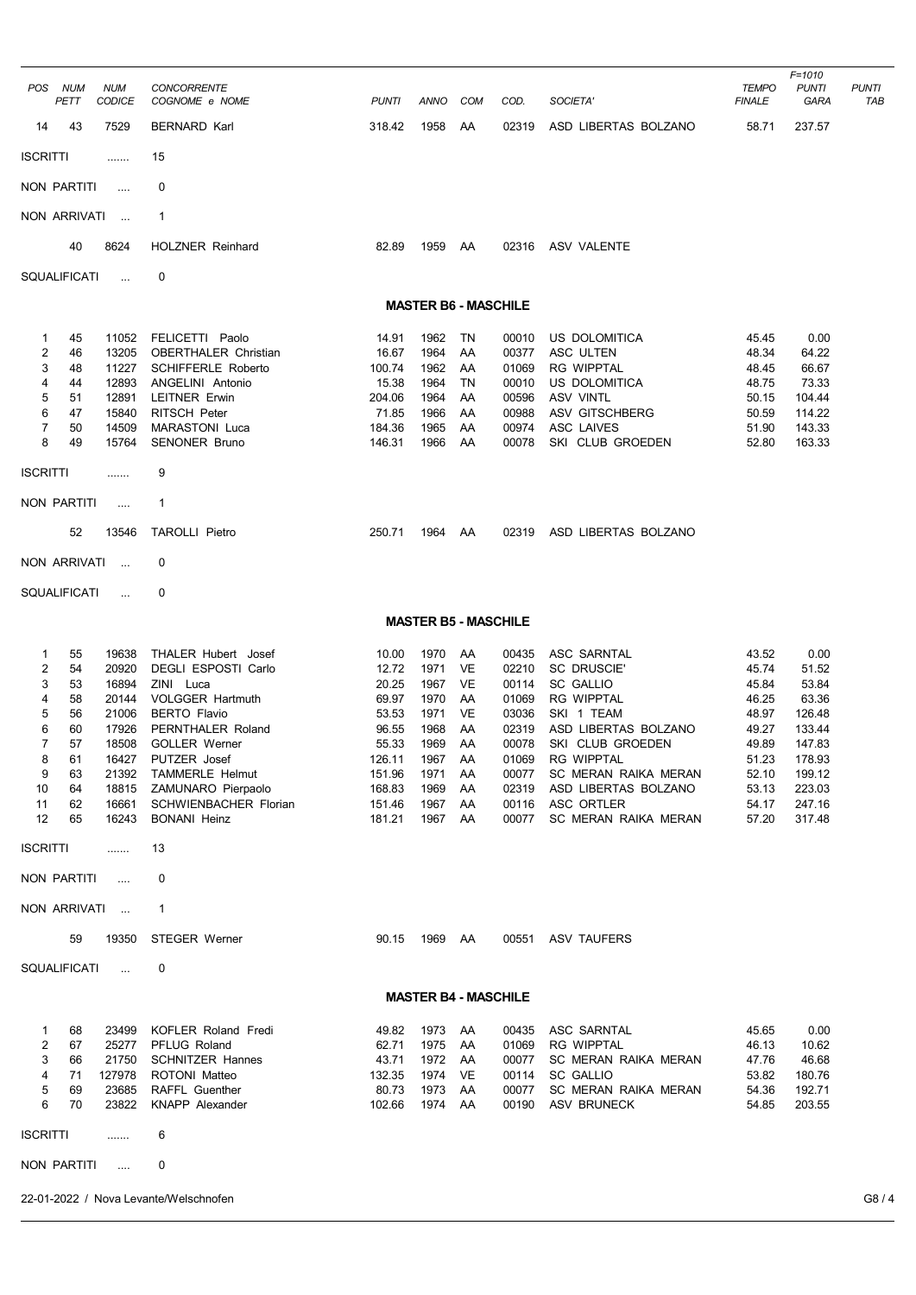| POS             | <b>NUM</b><br>PETT | <b>NUM</b><br><b>CODICE</b> | <b>CONCORRENTE</b><br>COGNOME e NOME            | <b>PUNTI</b>    | ANNO                        | COM      | COD.           | SOCIETA'                            | <b>TEMPO</b><br><b>FINALE</b> | $F = 1010$<br><b>PUNTI</b><br>GARA | <b>PUNTI</b><br>TAB |
|-----------------|--------------------|-----------------------------|-------------------------------------------------|-----------------|-----------------------------|----------|----------------|-------------------------------------|-------------------------------|------------------------------------|---------------------|
| 14              | 43                 | 7529                        | <b>BERNARD Karl</b>                             | 318.42          | 1958                        | AA       | 02319          | ASD LIBERTAS BOLZANO                | 58.71                         | 237.57                             |                     |
| <b>ISCRITTI</b> |                    | .                           | 15                                              |                 |                             |          |                |                                     |                               |                                    |                     |
| NON PARTITI     |                    | $\cdots$                    | 0                                               |                 |                             |          |                |                                     |                               |                                    |                     |
| NON ARRIVATI    |                    | $\sim$                      | $\mathbf{1}$                                    |                 |                             |          |                |                                     |                               |                                    |                     |
|                 | 40                 | 8624                        | <b>HOLZNER Reinhard</b>                         | 82.89           | 1959 AA                     |          |                | 02316 ASV VALENTE                   |                               |                                    |                     |
| SQUALIFICATI    |                    | $\ddotsc$                   | 0                                               |                 |                             |          |                |                                     |                               |                                    |                     |
|                 |                    |                             |                                                 |                 | <b>MASTER B6 - MASCHILE</b> |          |                |                                     |                               |                                    |                     |
| 1               | 45                 | 11052                       | FELICETTI Paolo                                 | 14.91           | 1962                        | TN       | 00010          | US DOLOMITICA                       | 45.45                         | 0.00                               |                     |
| 2               | 46                 | 13205                       | <b>OBERTHALER Christian</b>                     | 16.67           | 1964                        | AA       | 00377          | ASC ULTEN                           | 48.34                         | 64.22                              |                     |
| 3<br>4          | 48<br>44           | 11227<br>12893              | <b>SCHIFFERLE Roberto</b><br>ANGELINI Antonio   | 100.74<br>15.38 | 1962<br>1964                | AA<br>TN | 01069<br>00010 | <b>RG WIPPTAL</b><br>US DOLOMITICA  | 48.45<br>48.75                | 66.67<br>73.33                     |                     |
| 5               | 51                 | 12891                       | LEITNER Erwin                                   | 204.06          | 1964                        | AA       | 00596          | <b>ASV VINTL</b>                    | 50.15                         | 104.44                             |                     |
| 6               | 47                 | 15840                       | <b>RITSCH Peter</b>                             | 71.85           | 1966                        | AA       | 00988          | ASV GITSCHBERG                      | 50.59                         | 114.22                             |                     |
| $\overline{7}$  | 50                 | 14509                       | <b>MARASTONI Luca</b>                           | 184.36          | 1965                        | AA       | 00974          | <b>ASC LAIVES</b>                   | 51.90                         | 143.33                             |                     |
| 8               | 49                 | 15764                       | <b>SENONER Bruno</b>                            | 146.31          | 1966                        | AA       | 00078          | SKI CLUB GROEDEN                    | 52.80                         | 163.33                             |                     |
| <b>ISCRITTI</b> |                    | .                           | 9                                               |                 |                             |          |                |                                     |                               |                                    |                     |
| NON PARTITI     |                    | $\dots$                     | $\mathbf{1}$                                    |                 |                             |          |                |                                     |                               |                                    |                     |
|                 | 52                 | 13546                       | <b>TAROLLI Pietro</b>                           | 250.71          | 1964 AA                     |          | 02319          | ASD LIBERTAS BOLZANO                |                               |                                    |                     |
| NON ARRIVATI    |                    | $\sim$ 100 $\mu$            | 0                                               |                 |                             |          |                |                                     |                               |                                    |                     |
| SQUALIFICATI    |                    | $\ddotsc$                   | 0                                               |                 |                             |          |                |                                     |                               |                                    |                     |
|                 |                    |                             |                                                 |                 | <b>MASTER B5 - MASCHILE</b> |          |                |                                     |                               |                                    |                     |
| 1               | 55                 | 19638                       | <b>THALER Hubert Josef</b>                      | 10.00           | 1970                        | AA       | 00435          | ASC SARNTAL                         | 43.52                         | 0.00                               |                     |
| 2               | 54                 | 20920                       | <b>DEGLI ESPOSTI Carlo</b>                      | 12.72           | 1971                        | VE       | 02210          | <b>SC DRUSCIE</b>                   | 45.74                         | 51.52                              |                     |
| 3               | 53                 | 16894                       | ZINI Luca                                       | 20.25           | 1967                        | VE       | 00114          | <b>SC GALLIO</b>                    | 45.84                         | 53.84                              |                     |
| 4               | 58                 | 20144                       | <b>VOLGGER Hartmuth</b>                         | 69.97           | 1970                        | AA       | 01069          | <b>RG WIPPTAL</b>                   | 46.25                         | 63.36                              |                     |
| 5<br>6          | 56<br>60           | 21006<br>17926              | <b>BERTO Flavio</b><br>PERNTHALER Roland        | 53.53<br>96.55  | 1971<br>1968                | VE<br>AA | 03036<br>02319 | SKI 1 TEAM<br>ASD LIBERTAS BOLZANO  | 48.97<br>49.27                | 126.48<br>133.44                   |                     |
| $\overline{7}$  | 57                 | 18508                       | <b>GOLLER Werner</b>                            | 55.33           | 1969                        | AA       | 00078          | SKI CLUB GROEDEN                    | 49.89                         | 147.83                             |                     |
| 8               | 61                 |                             | 16427 PUTZER Josef                              | 126.11          | 1967 AA                     |          |                | 01069 RG WIPPTAL                    | 51.23                         | 178.93                             |                     |
| 9               | 63                 |                             | 21392 TAMMERLE Helmut                           | 151.96          | 1971 AA                     |          | 00077          | SC MERAN RAIKA MERAN                | 52.10                         | 199.12                             |                     |
| 10              | 64                 | 18815                       | ZAMUNARO Pierpaolo                              | 168.83          | 1969                        | AA       | 02319          | ASD LIBERTAS BOLZANO                | 53.13                         | 223.03                             |                     |
| 11              | 62                 |                             | 16661 SCHWIENBACHER Florian                     | 151.46          | 1967                        | AA       | 00116          | ASC ORTLER                          | 54.17                         | 247.16                             |                     |
| 12              | 65                 | 16243                       | <b>BONANI Heinz</b>                             | 181.21          | 1967                        | AA       | 00077          | <b>SC MERAN RAIKA MERAN</b>         | 57.20                         | 317.48                             |                     |
| <b>ISCRITTI</b> |                    | .                           | 13                                              |                 |                             |          |                |                                     |                               |                                    |                     |
| NON PARTITI     |                    | $\sim$                      | 0                                               |                 |                             |          |                |                                     |                               |                                    |                     |
|                 |                    | NON ARRIVATI                | $\mathbf{1}$                                    |                 |                             |          |                |                                     |                               |                                    |                     |
|                 | 59                 |                             | 19350 STEGER Werner                             | 90.15           | 1969 AA                     |          |                | 00551 ASV TAUFERS                   |                               |                                    |                     |
| SQUALIFICATI    |                    | $\sim$                      | 0                                               |                 |                             |          |                |                                     |                               |                                    |                     |
|                 |                    |                             |                                                 |                 | <b>MASTER B4 - MASCHILE</b> |          |                |                                     |                               |                                    |                     |
| 1               | 68                 | 23499                       | <b>KOFLER Roland Fredi</b>                      | 49.82           | 1973 AA                     |          | 00435          | ASC SARNTAL                         | 45.65                         | 0.00                               |                     |
| 2               | 67                 |                             | 25277 PFLUG Roland                              | 62.71           | 1975                        | AA       | 01069          | <b>RG WIPPTAL</b>                   | 46.13                         | 10.62                              |                     |
| 3               | 66                 | 21750                       | <b>SCHNITZER Hannes</b>                         | 43.71           | 1972                        | AA       | 00077          | SC MERAN RAIKA MERAN                | 47.76                         | 46.68                              |                     |
| $\overline{4}$  | 71                 | 127978                      | ROTONI Matteo                                   | 132.35          | 1974                        | VE.      | 00114          | <b>SC GALLIO</b>                    | 53.82                         | 180.76                             |                     |
| 5<br>6          | 69<br>70           | 23685<br>23822              | <b>RAFFL Guenther</b><br><b>KNAPP Alexander</b> | 80.73<br>102.66 | 1973<br>1974 AA             | AA       | 00077<br>00190 | SC MERAN RAIKA MERAN<br>ASV BRUNECK | 54.36<br>54.85                | 192.71<br>203.55                   |                     |
| <b>ISCRITTI</b> |                    | .                           | 6                                               |                 |                             |          |                |                                     |                               |                                    |                     |
| NON PARTITI     |                    | $\sim$                      | 0                                               |                 |                             |          |                |                                     |                               |                                    |                     |
|                 |                    |                             |                                                 |                 |                             |          |                |                                     |                               |                                    |                     |

22-01-2022 / Nova Levante/Welschnofen G8 / 4